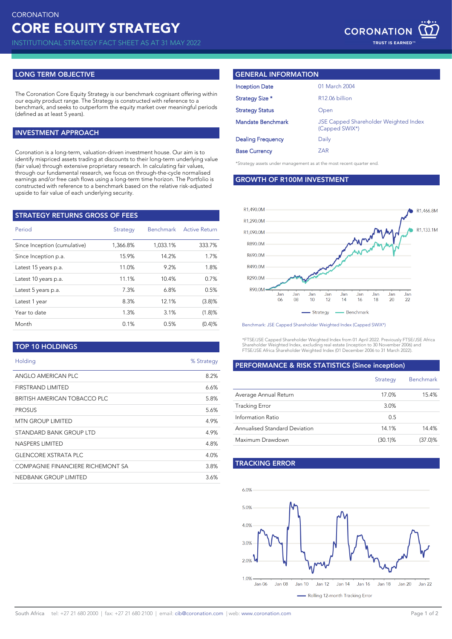INSTITUTIONAL STRATEGY FACT SHEET AS AT 31 MAY 2022

## **LONG TERM OBJECTIVE**

The Coronation Core Equity Strategy is our benchmark cognisant offering within our equity product range. The Strategy is constructed with reference to a benchmark, and seeks to outperform the equity market over meaningful periods (defined as at least 5 years).

## **INVESTMENT APPROACH**

Coronation is a long-term, valuation-driven investment house. Our aim is to identify mispriced assets trading at discounts to their long-term underlying value (fair value) through extensive proprietary research. In calculating fair values, through our fundamental research, we focus on through-the-cycle normalised earnings and/or free cash flows using a long-term time horizon. The Portfolio is constructed with reference to a benchmark based on the relative risk-adjusted upside to fair value of each underlying security.

| <b>STRATEGY RETURNS GROSS OF FEES</b> |          |                  |                      |  |  |  |
|---------------------------------------|----------|------------------|----------------------|--|--|--|
| Period                                | Strategy | <b>Benchmark</b> | <b>Active Return</b> |  |  |  |
| Since Inception (cumulative)          | 1,366.8% | 1.033.1%         | 333.7%               |  |  |  |
| Since Inception p.a.                  | 15.9%    | 14.2%            | 1.7%                 |  |  |  |
| Latest 15 years p.a.                  | 11.0%    | 9.2%             | 1.8%                 |  |  |  |
| Latest 10 years p.a.                  | 11.1%    | 10.4%            | 0.7%                 |  |  |  |
| Latest 5 years p.a.                   | 7.3%     | 6.8%             | 0.5%                 |  |  |  |
| Latest 1 year                         | 8.3%     | 12.1%            | (3.8)%               |  |  |  |
| Year to date                          | 1.3%     | 3.1%             | (1.8)%               |  |  |  |
| Month                                 | 0.1%     | 0.5%             | (0.4)%               |  |  |  |

**TOP 10 HOLDINGS**

| Holding                           | % Strategy |
|-----------------------------------|------------|
| ANGLO AMERICAN PLC                | 8.2%       |
| FIRSTRAND LIMITED                 | 6.6%       |
| BRITISH AMERICAN TOBACCO PLC      | 5.8%       |
| <b>PROSUS</b>                     | 5.6%       |
| <b>MTN GROUP LIMITED</b>          | 4.9%       |
| STANDARD BANK GROUP LTD           | 4.9%       |
| <b>NASPERS LIMITED</b>            | 4.8%       |
| <b>GLENCORE XSTRATA PLC</b>       | 4.0%       |
| COMPAGNIE FINANCIERE RICHEMONT SA | 3.8%       |
| NEDBANK GROUP LIMITED             | 3.6%       |

## **GENERAL INFORMATION**

| <b>Inception Date</b>    | 01 March 2004                                                  |  |
|--------------------------|----------------------------------------------------------------|--|
| Strategy Size *          | R <sub>12.06</sub> billion                                     |  |
| <b>Strategy Status</b>   | Open                                                           |  |
| Mandate Benchmark        | <b>JSE Capped Shareholder Weighted Index</b><br>(Capped SWIX*) |  |
| <b>Dealing Frequency</b> | Daily                                                          |  |
| <b>Base Currency</b>     | ZAR                                                            |  |
|                          |                                                                |  |

\*Strategy assets under management as at the most recent quarter end.

**GROWTH OF R100M INVESTMENT**



Benchmark: JSE Capped Shareholder Weighted Index (Capped SWIX\*)

\*FTSE/JSE Capped Shareholder Weighted Index from 01 April 2022. Previously FTSE/JSE Africa Shareholder Weighted Index, excluding real estate (inception to 30 November 2006) and FTSE/JSE Africa Shareholder Weighted Index (01 December 2006 to 31 March 2022).

### **PERFORMANCE & RISK STATISTICS (Since inception)**

|                               | Strategy   | <b>Benchmark</b> |
|-------------------------------|------------|------------------|
| Average Annual Return         | 17.0%      | 15.4%            |
| <b>Tracking Error</b>         | 3.0%       |                  |
| Information Ratio             | 0.5        |                  |
| Annualised Standard Deviation | 14.1%      | 14.4%            |
| Maximum Drawdown              | $(30.1)\%$ | (37.0)%          |

# **TRACKING ERROR**